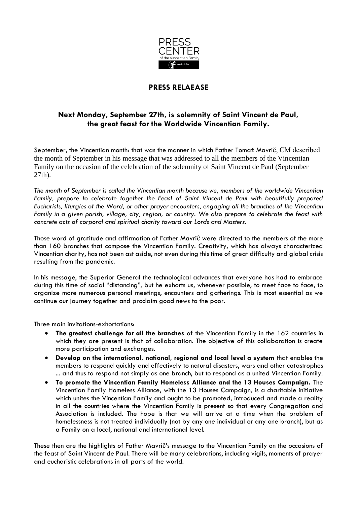

## **PRESS RELAEASE**

## **Next Monday, September 27th, is solemnity of Saint Vincent de Paul, the great feast for the Worldwide Vincentian Family.**

September, the Vincentian month: that was the manner in which Father Tomaž Mavrič, CM described the month of September in his message that was addressed to all the members of the Vincentian Family on the occasion of the celebration of the solemnity of Saint Vincent de Paul (September 27th).

*The month of September is called the Vincentian month because we, members of the worldwide Vincentian Family, prepare to celebrate together the Feast of Saint Vincent de Paul with beautifully prepared Eucharists, liturgies of the Word, or other prayer encounters, engaging all the branches of the Vincentian Family in a given parish, village, city, region, or country. We also prepare to celebrate the feast with concrete acts of corporal and spiritual charity toward our Lords and Masters.*

Those word of gratitude and affirmation of Father Mavriĉ were directed to the members of the more than 160 branches that compose the Vincentian Family. Creativity, which has always characterized Vincentian charity, has not been ast aside, not even during this time of great difficulty and global crisis resulting from the pandemic.

In his message, the Superior General the technological advances that everyone has had to embrace during this time of social "distancing", but he exhorts us, whenever possible, to meet face to face, to organize more numerous personal meetings, encounters and gatherings. This is most essential as we continue our journey together and proclaim good news to the poor.

Three main invitations-exhortations:

- **The greatest challenge for all the branches** of the Vincentian Family in the 162 countries in which they are present is that of collaboration. The objective of this collaboration is create more participation and exchanges.
- **Develop on the international, national, regional and local level a system** that enables the members to respond quickly and effectively to natural disasters, wars and other catastrophes ... and thus to respond not simply as one branch, but to respond as a united Vincentian Family.
- **To promote the Vincentian Family Homeless Alliance and the 13 Houses Campaign.** The Vincentian Family Homeless Alliance, with the 13 Houses Campaign, is a charitable initiative which unites the Vincentian Family and ought to be promoted, introduced and made a reality in all the countries where the Vincentian Family is present so that every Congregation and Association is included. The hope is that we will arrive at a time when the problem of homelessness is not treated individually (not by any one individual or any one branch), but as a Family on a local, national and international level.

These then are the highlights of Father Mavriĉ's message to the Vincentian Family on the occasions of the feast of Saint Vincent de Paul. There will be many celebrations, including vigils, moments of prayer and eucharistic celebrations in all parts of the world.